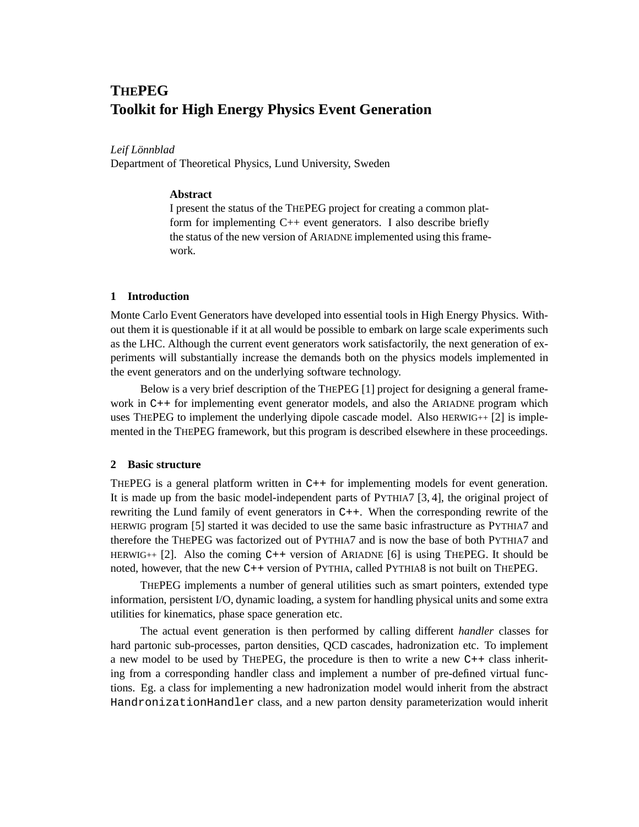# **THEPEG Toolkit for High Energy Physics Event Generation**

## *Leif Lonnblad ¨*

Department of Theoretical Physics, Lund University, Sweden

#### **Abstract**

I present the status of the THEPEG project for creating a common platform for implementing  $C++$  event generators. I also describe briefly the status of the new version of ARIADNE implemented using this framework.

# **1 Introduction**

Monte Carlo Event Generators have developed into essential tools in High Energy Physics. Without them it is questionable if it at all would be possible to embark on large scale experiments such as the LHC. Although the current event generators work satisfactorily, the next generation of experiments will substantially increase the demands both on the physics models implemented in the event generators and on the underlying software technology.

Below is a very brief description of the THEPEG [1] project for designing a general framework in C++ for implementing event generator models, and also the ARIADNE program which uses THEPEG to implement the underlying dipole cascade model. Also  $HERWIG++ [2]$  is implemented in the THEPEG framework, but this program is described elsewhere in these proceedings.

## **2 Basic structure**

THEPEG is a general platform written in C++ for implementing models for event generation. It is made up from the basic model-independent parts of PYTHIA7 [3, 4], the original project of rewriting the Lund family of event generators in C++. When the corresponding rewrite of the HERWIG program [5] started it was decided to use the same basic infrastructure as PYTHIA7 and therefore the THEPEG was factorized out of PYTHIA7 and is now the base of both PYTHIA7 and HERWIG++  $[2]$ . Also the coming C++ version of ARIADNE  $[6]$  is using THEPEG. It should be noted, however, that the new C++ version of PYTHIA, called PYTHIA8 is not built on THEPEG.

THEPEG implements a number of general utilities such as smart pointers, extended type information, persistent I/O, dynamic loading, a system for handling physical units and some extra utilities for kinematics, phase space generation etc.

The actual event generation is then performed by calling different *handler* classes for hard partonic sub-processes, parton densities, QCD cascades, hadronization etc. To implement a new model to be used by THEPEG, the procedure is then to write a new C++ class inheriting from a corresponding handler class and implement a number of pre-defined virtual functions. Eg. a class for implementing a new hadronization model would inherit from the abstract HandronizationHandler class, and a new parton density parameterization would inherit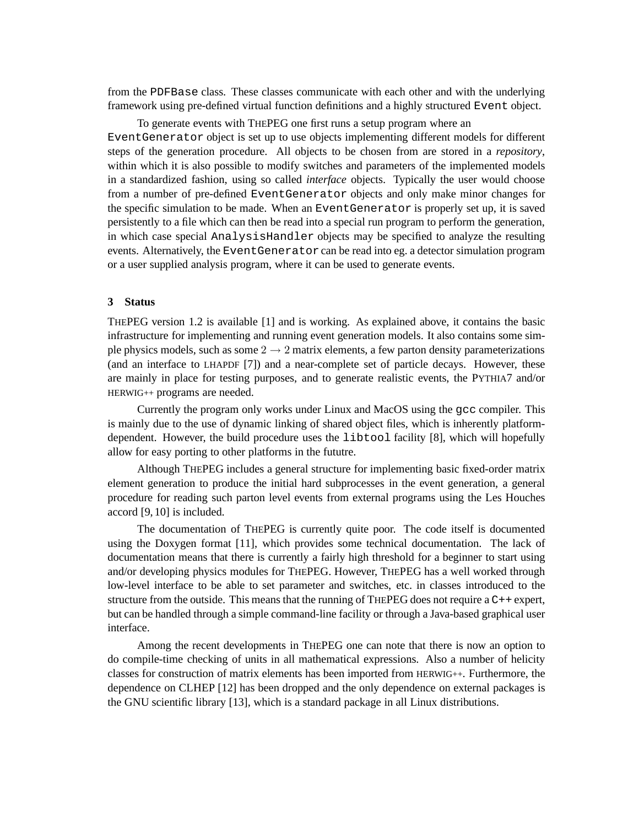from the PDFBase class. These classes communicate with each other and with the underlying framework using pre-defined virtual function definitions and a highly structured Event object.

To generate events with THEPEG one first runs a setup program where an EventGenerator object is set up to use objects implementing different models for different steps of the generation procedure. All objects to be chosen from are stored in a *repository*, within which it is also possible to modify switches and parameters of the implemented models in a standardized fashion, using so called *interface* objects. Typically the user would choose from a number of pre-defined EventGenerator objects and only make minor changes for the specific simulation to be made. When an EventGenerator is properly set up, it is saved persistently to a file which can then be read into a special run program to perform the generation, in which case special AnalysisHandler objects may be specified to analyze the resulting events. Alternatively, the EventGeneratorcan be read into eg. a detector simulation program or a user supplied analysis program, where it can be used to generate events.

#### **3 Status**

THEPEG version 1.2 is available [1] and is working. As explained above, it contains the basic infrastructure for implementing and running event generation models. It also contains some simple physics models, such as some  $2 \rightarrow 2$  matrix elements, a few parton density parameterizations (and an interface to LHAPDF [7]) and a near-complete set of particle decays. However, these are mainly in place for testing purposes, and to generate realistic events, the PYTHIA7 and/or HERWIG++ programs are needed.

Currently the program only works under Linux and MacOS using the gcc compiler. This is mainly due to the use of dynamic linking of shared object files, which is inherently platformdependent. However, the build procedure uses the libtool facility [8], which will hopefully allow for easy porting to other platforms in the fututre.

Although THEPEG includes a general structure for implementing basic fixed-order matrix element generation to produce the initial hard subprocesses in the event generation, a general procedure for reading such parton level events from external programs using the Les Houches accord [9, 10] is included.

The documentation of THEPEG is currently quite poor. The code itself is documented using the Doxygen format [11], which provides some technical documentation. The lack of documentation means that there is currently a fairly high threshold for a beginner to start using and/or developing physics modules for THEPEG. However, THEPEG has a well worked through low-level interface to be able to set parameter and switches, etc. in classes introduced to the structure from the outside. This means that the running of THEPEG does not require a C++ expert, but can be handled through a simple command-line facility or through a Java-based graphical user interface.

Among the recent developments in THEPEG one can note that there is now an option to do compile-time checking of units in all mathematical expressions. Also a number of helicity classes for construction of matrix elements has been imported from HERWIG++. Furthermore, the dependence on CLHEP [12] has been dropped and the only dependence on external packages is the GNU scientific library [13], which is a standard package in all Linux distributions.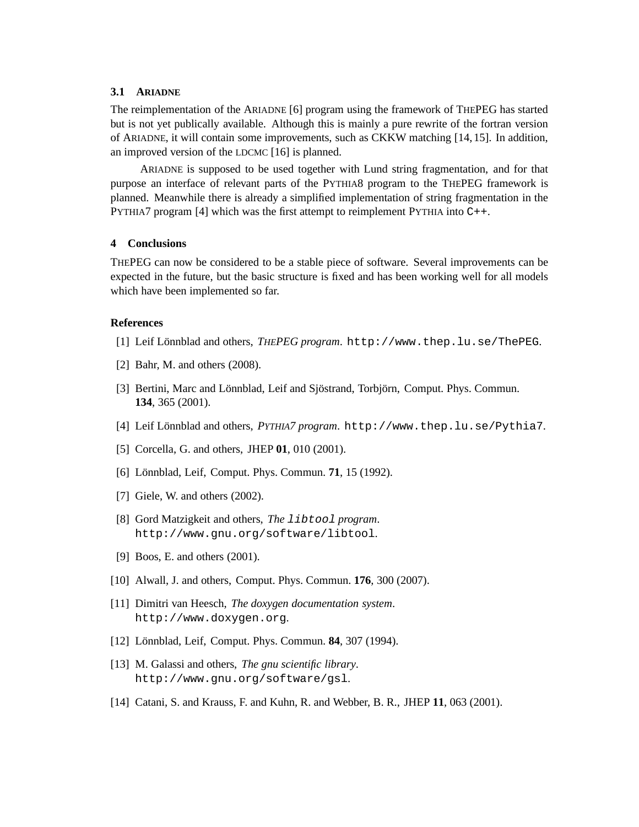## **3.1 ARIADNE**

The reimplementation of the ARIADNE [6] program using the framework of THEPEG has started but is not yet publically available. Although this is mainly a pure rewrite of the fortran version of ARIADNE, it will contain some improvements, such as CKKW matching [14, 15]. In addition, an improved version of the LDCMC [16] is planned.

ARIADNE is supposed to be used together with Lund string fragmentation, and for that purpose an interface of relevant parts of the PYTHIA8 program to the THEPEG framework is planned. Meanwhile there is already a simplified implementation of string fragmentation in the PYTHIA7 program [4] which was the first attempt to reimplement PYTHIA into C++.

## **4 Conclusions**

THEPEG can now be considered to be a stable piece of software. Several improvements can be expected in the future, but the basic structure is fixed and has been working well for all models which have been implemented so far.

#### **References**

- [1] Leif L¨onnblad and others, *THEPEG program*. http://www.thep.lu.se/ThePEG.
- [2] Bahr, M. and others (2008).
- [3] Bertini, Marc and Lönnblad, Leif and Sjöstrand, Torbjörn, Comput. Phys. Commun. **134**, 365 (2001).
- [4] Leif Lönnblad and others, *PYTHIA7 program*. http://www.thep.lu.se/Pythia7.
- [5] Corcella, G. and others, JHEP **01**, 010 (2001).
- [6] Lönnblad, Leif, Comput. Phys. Commun. **71**, 15 (1992).
- [7] Giele, W. and others (2002).
- [8] Gord Matzigkeit and others, *The* libtool *program*. http://www.gnu.org/software/libtool.
- [9] Boos, E. and others (2001).
- [10] Alwall, J. and others, Comput. Phys. Commun. **176**, 300 (2007).
- [11] Dimitri van Heesch, *The doxygen documentation system*. http://www.doxygen.org.
- [12] Lönnblad, Leif, Comput. Phys. Commun. **84**, 307 (1994).
- [13] M. Galassi and others, *The gnu scientific library*. http://www.gnu.org/software/gsl.
- [14] Catani, S. and Krauss, F. and Kuhn, R. and Webber, B. R., JHEP **11**, 063 (2001).